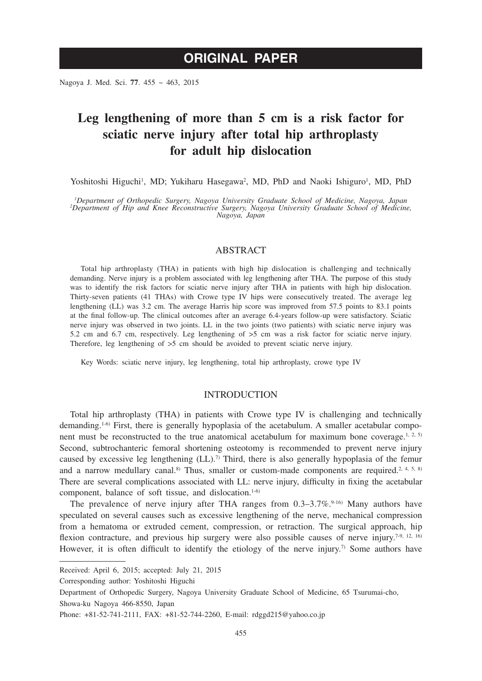Nagoya J. Med. Sci. **77**. 455 ~ 463, 2015

# **Leg lengthening of more than 5 cm is a risk factor for sciatic nerve injury after total hip arthroplasty for adult hip dislocation**

Yoshitoshi Higuchi<sup>1</sup>, MD; Yukiharu Hasegawa<sup>2</sup>, MD, PhD and Naoki Ishiguro<sup>1</sup>, MD, PhD

<sup>1</sup>Department of Orthopedic Surgery, Nagoya University Graduate School of Medicine, Nagoya, Japan<br><sup>2</sup>Department of Hip and Knee Reconstructive Surgery, Nagoya University Graduate School of Medicine, *Nagoya, Japan*

# ABSTRACT

Total hip arthroplasty (THA) in patients with high hip dislocation is challenging and technically demanding. Nerve injury is a problem associated with leg lengthening after THA. The purpose of this study was to identify the risk factors for sciatic nerve injury after THA in patients with high hip dislocation. Thirty-seven patients (41 THAs) with Crowe type IV hips were consecutively treated. The average leg lengthening (LL) was 3.2 cm. The average Harris hip score was improved from 57.5 points to 83.1 points at the final follow-up. The clinical outcomes after an average 6.4-years follow-up were satisfactory. Sciatic nerve injury was observed in two joints. LL in the two joints (two patients) with sciatic nerve injury was 5.2 cm and 6.7 cm, respectively. Leg lengthening of >5 cm was a risk factor for sciatic nerve injury. Therefore, leg lengthening of >5 cm should be avoided to prevent sciatic nerve injury.

Key Words: sciatic nerve injury, leg lengthening, total hip arthroplasty, crowe type IV

## INTRODUCTION

Total hip arthroplasty (THA) in patients with Crowe type IV is challenging and technically demanding.<sup>1-6)</sup> First, there is generally hypoplasia of the acetabulum. A smaller acetabular component must be reconstructed to the true anatomical acetabulum for maximum bone coverage.<sup>1, 2, 5)</sup> Second, subtrochanteric femoral shortening osteotomy is recommended to prevent nerve injury caused by excessive leg lengthening  $(LL)$ .<sup>7)</sup> Third, there is also generally hypoplasia of the femur and a narrow medullary canal.<sup>8)</sup> Thus, smaller or custom-made components are required.<sup>2, 4, 5, 8)</sup> There are several complications associated with LL: nerve injury, difficulty in fixing the acetabular component, balance of soft tissue, and dislocation.<sup>1-6)</sup>

The prevalence of nerve injury after THA ranges from  $0.3-3.7\%$ .<sup>9-16)</sup> Many authors have speculated on several causes such as excessive lengthening of the nerve, mechanical compression from a hematoma or extruded cement, compression, or retraction. The surgical approach, hip flexion contracture, and previous hip surgery were also possible causes of nerve injury.<sup>7-9, 12, 16)</sup> However, it is often difficult to identify the etiology of the nerve injury.<sup>7)</sup> Some authors have

Corresponding author: Yoshitoshi Higuchi

Received: April 6, 2015; accepted: July 21, 2015

Department of Orthopedic Surgery, Nagoya University Graduate School of Medicine, 65 Tsurumai-cho, Showa-ku Nagoya 466-8550, Japan

Phone: +81-52-741-2111, FAX: +81-52-744-2260, E-mail: rdggd215@yahoo.co.jp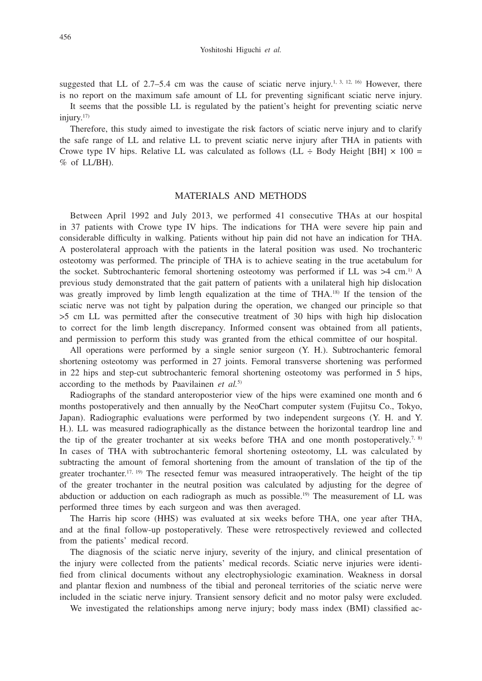suggested that LL of 2.7–5.4 cm was the cause of sciatic nerve injury.<sup>1, 3, 12, 16</sup> However, there is no report on the maximum safe amount of LL for preventing significant sciatic nerve injury.

It seems that the possible LL is regulated by the patient's height for preventing sciatic nerve injury.17)

Therefore, this study aimed to investigate the risk factors of sciatic nerve injury and to clarify the safe range of LL and relative LL to prevent sciatic nerve injury after THA in patients with Crowe type IV hips. Relative LL was calculated as follows (LL  $\div$  Body Height [BH]  $\times$  100 = % of LL/BH).

## MATERIALS AND METHODS

Between April 1992 and July 2013, we performed 41 consecutive THAs at our hospital in 37 patients with Crowe type IV hips. The indications for THA were severe hip pain and considerable difficulty in walking. Patients without hip pain did not have an indication for THA. A posterolateral approach with the patients in the lateral position was used. No trochanteric osteotomy was performed. The principle of THA is to achieve seating in the true acetabulum for the socket. Subtrochanteric femoral shortening osteotomy was performed if LL was  $>4$  cm.<sup>1)</sup> A previous study demonstrated that the gait pattern of patients with a unilateral high hip dislocation was greatly improved by limb length equalization at the time of THA.<sup>18)</sup> If the tension of the sciatic nerve was not tight by palpation during the operation, we changed our principle so that >5 cm LL was permitted after the consecutive treatment of 30 hips with high hip dislocation to correct for the limb length discrepancy. Informed consent was obtained from all patients, and permission to perform this study was granted from the ethical committee of our hospital.

All operations were performed by a single senior surgeon (Y. H.). Subtrochanteric femoral shortening osteotomy was performed in 27 joints. Femoral transverse shortening was performed in 22 hips and step-cut subtrochanteric femoral shortening osteotomy was performed in 5 hips, according to the methods by Paavilainen *et al.*5)

Radiographs of the standard anteroposterior view of the hips were examined one month and 6 months postoperatively and then annually by the NeoChart computer system (Fujitsu Co., Tokyo, Japan). Radiographic evaluations were performed by two independent surgeons (Y. H. and Y. H.). LL was measured radiographically as the distance between the horizontal teardrop line and the tip of the greater trochanter at six weeks before THA and one month postoperatively.<sup>7, 8)</sup> In cases of THA with subtrochanteric femoral shortening osteotomy, LL was calculated by subtracting the amount of femoral shortening from the amount of translation of the tip of the greater trochanter.<sup>17, 19)</sup> The resected femur was measured intraoperatively. The height of the tip of the greater trochanter in the neutral position was calculated by adjusting for the degree of abduction or adduction on each radiograph as much as possible.<sup>19)</sup> The measurement of LL was performed three times by each surgeon and was then averaged.

The Harris hip score (HHS) was evaluated at six weeks before THA, one year after THA, and at the final follow-up postoperatively. These were retrospectively reviewed and collected from the patients' medical record.

The diagnosis of the sciatic nerve injury, severity of the injury, and clinical presentation of the injury were collected from the patients' medical records. Sciatic nerve injuries were identified from clinical documents without any electrophysiologic examination. Weakness in dorsal and plantar flexion and numbness of the tibial and peroneal territories of the sciatic nerve were included in the sciatic nerve injury. Transient sensory deficit and no motor palsy were excluded.

We investigated the relationships among nerve injury; body mass index (BMI) classified ac-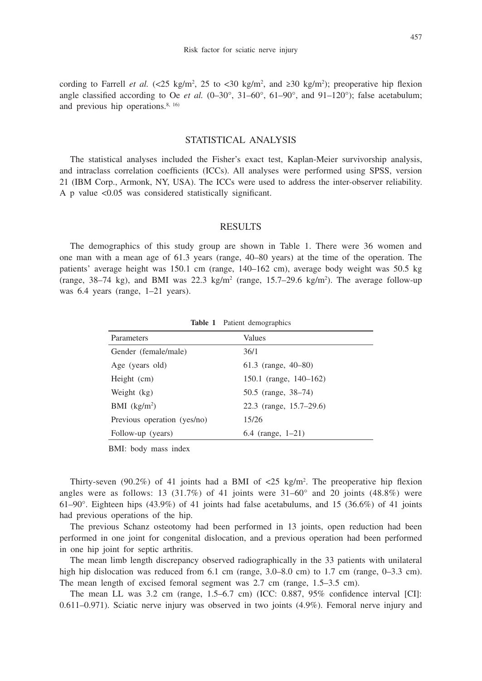cording to Farrell *et al.*  $\langle 25 \text{ kg/m}^2, 25 \text{ to } 30 \text{ kg/m}^2, \text{ and } 230 \text{ kg/m}^2 \rangle$ ; preoperative hip flexion angle classified according to Oe *et al.*  $(0-30^{\circ}, 31-60^{\circ}, 61-90^{\circ})$ , and  $91-120^{\circ}$ ; false acetabulum; and previous hip operations. $8, 16$ 

# STATISTICAL ANALYSIS

The statistical analyses included the Fisher's exact test, Kaplan-Meier survivorship analysis, and intraclass correlation coefficients (ICCs). All analyses were performed using SPSS, version 21 (IBM Corp., Armonk, NY, USA). The ICCs were used to address the inter-observer reliability. A p value <0.05 was considered statistically significant.

#### RESULTS

The demographics of this study group are shown in Table 1. There were 36 women and one man with a mean age of 61.3 years (range, 40–80 years) at the time of the operation. The patients' average height was 150.1 cm (range, 140–162 cm), average body weight was 50.5 kg (range, 38–74 kg), and BMI was 22.3 kg/m<sup>2</sup> (range, 15.7–29.6 kg/m<sup>2</sup>). The average follow-up was 6.4 years (range, 1–21 years).

| Parameters                  | Values                  |
|-----------------------------|-------------------------|
| Gender (female/male)        | 36/1                    |
| Age (years old)             | 61.3 (range, $40-80$ )  |
| Height (cm)                 | 150.1 (range, 140–162)  |
| Weight (kg)                 | 50.5 (range, 38–74)     |
| $BMI$ (kg/m <sup>2</sup> )  | 22.3 (range, 15.7–29.6) |
| Previous operation (yes/no) | 15/26                   |
| Follow-up (years)           | 6.4 (range, $1-21$ )    |

**Table 1** Patient demographics

BMI: body mass index

Thirty-seven (90.2%) of 41 joints had a BMI of  $\langle 25 \text{ kg/m}^2 \rangle$ . The preoperative hip flexion angles were as follows: 13 (31.7%) of 41 joints were  $31-60^\circ$  and 20 joints (48.8%) were 61–90°. Eighteen hips (43.9%) of 41 joints had false acetabulums, and 15 (36.6%) of 41 joints had previous operations of the hip.

The previous Schanz osteotomy had been performed in 13 joints, open reduction had been performed in one joint for congenital dislocation, and a previous operation had been performed in one hip joint for septic arthritis.

The mean limb length discrepancy observed radiographically in the 33 patients with unilateral high hip dislocation was reduced from 6.1 cm (range, 3.0–8.0 cm) to 1.7 cm (range, 0–3.3 cm). The mean length of excised femoral segment was 2.7 cm (range, 1.5–3.5 cm).

The mean LL was 3.2 cm (range, 1.5–6.7 cm) (ICC: 0.887, 95% confidence interval [CI]: 0.611–0.971). Sciatic nerve injury was observed in two joints (4.9%). Femoral nerve injury and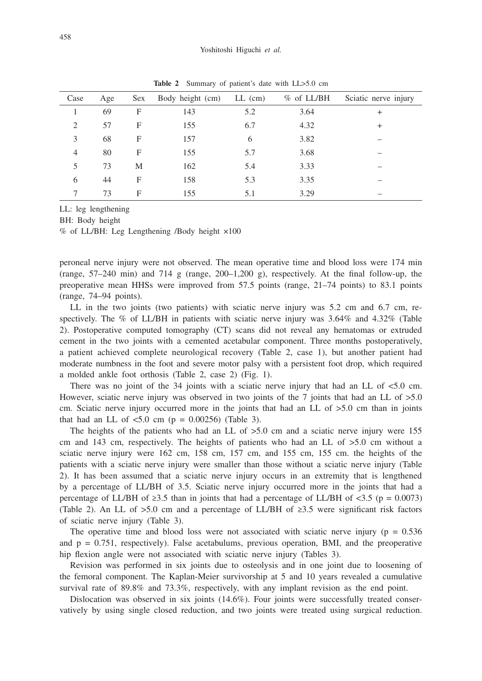| Case           | Age | Sex | Body height (cm) | $LL$ (cm) | $%$ of LL/BH | Sciatic nerve injury |
|----------------|-----|-----|------------------|-----------|--------------|----------------------|
|                | 69  | F   | 143              | 5.2       | 3.64         | $^+$                 |
| 2              | 57  | F   | 155              | 6.7       | 4.32         | $^+$                 |
| 3              | 68  | F   | 157              | 6         | 3.82         |                      |
| $\overline{4}$ | 80  | F   | 155              | 5.7       | 3.68         |                      |
| 5              | 73  | M   | 162              | 5.4       | 3.33         |                      |
| 6              | 44  | F   | 158              | 5.3       | 3.35         |                      |
|                | 73  | F   | 155              | 5.1       | 3.29         |                      |
|                |     |     |                  |           |              |                      |

**Table 2** Summary of patient's date with LL>5.0 cm

LL: leg lengthening

BH: Body height

% of LL/BH: Leg Lengthening /Body height ×100

peroneal nerve injury were not observed. The mean operative time and blood loss were 174 min (range,  $57-240$  min) and  $714$  g (range,  $200-1,200$  g), respectively. At the final follow-up, the preoperative mean HHSs were improved from 57.5 points (range, 21–74 points) to 83.1 points (range, 74–94 points).

LL in the two joints (two patients) with sciatic nerve injury was 5.2 cm and 6.7 cm, respectively. The % of LL/BH in patients with sciatic nerve injury was 3.64% and 4.32% (Table 2). Postoperative computed tomography (CT) scans did not reveal any hematomas or extruded cement in the two joints with a cemented acetabular component. Three months postoperatively, a patient achieved complete neurological recovery (Table 2, case 1), but another patient had moderate numbness in the foot and severe motor palsy with a persistent foot drop, which required a molded ankle foot orthosis (Table 2, case 2) (Fig. 1).

There was no joint of the  $34$  joints with a sciatic nerve injury that had an LL of  $\lt 5.0$  cm. However, sciatic nerve injury was observed in two joints of the 7 joints that had an LL of  $>5.0$ cm. Sciatic nerve injury occurred more in the joints that had an LL of  $>5.0$  cm than in joints that had an LL of  $\leq 5.0$  cm (p = 0.00256) (Table 3).

The heights of the patients who had an LL of  $>5.0$  cm and a sciatic nerve injury were 155 cm and 143 cm, respectively. The heights of patients who had an LL of >5.0 cm without a sciatic nerve injury were 162 cm, 158 cm, 157 cm, and 155 cm, 155 cm. the heights of the patients with a sciatic nerve injury were smaller than those without a sciatic nerve injury (Table 2). It has been assumed that a sciatic nerve injury occurs in an extremity that is lengthened by a percentage of LL/BH of 3.5. Sciatic nerve injury occurred more in the joints that had a percentage of LL/BH of  $\geq 3.5$  than in joints that had a percentage of LL/BH of  $\lt 3.5$  (p = 0.0073) (Table 2). An LL of >5.0 cm and a percentage of LL/BH of  $\geq 3.5$  were significant risk factors of sciatic nerve injury (Table 3).

The operative time and blood loss were not associated with sciatic nerve injury ( $p = 0.536$ ) and  $p = 0.751$ , respectively). False acetabulums, previous operation, BMI, and the preoperative hip flexion angle were not associated with sciatic nerve injury (Tables 3).

Revision was performed in six joints due to osteolysis and in one joint due to loosening of the femoral component. The Kaplan-Meier survivorship at 5 and 10 years revealed a cumulative survival rate of 89.8% and 73.3%, respectively, with any implant revision as the end point.

Dislocation was observed in six joints (14.6%). Four joints were successfully treated conservatively by using single closed reduction, and two joints were treated using surgical reduction.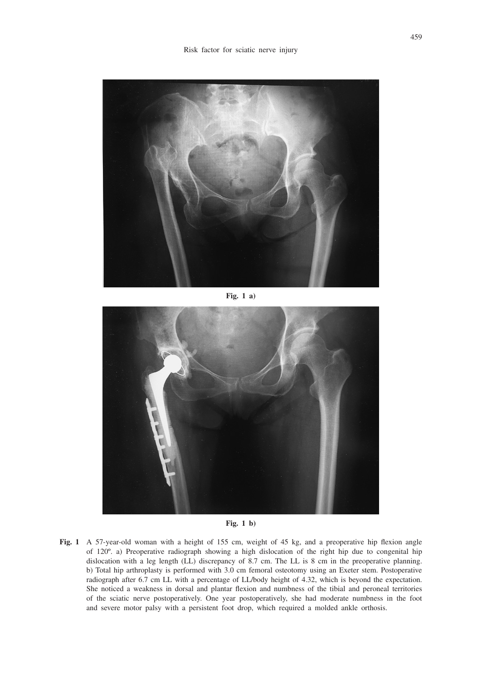

**Fig. 1 a)**



**Fig. 1 b)**

**Fig. 1** A 57-year-old woman with a height of 155 cm, weight of 45 kg, and a preoperative hip flexion angle of 120º. a) Preoperative radiograph showing a high dislocation of the right hip due to congenital hip dislocation with a leg length (LL) discrepancy of 8.7 cm. The LL is 8 cm in the preoperative planning. b) Total hip arthroplasty is performed with 3.0 cm femoral osteotomy using an Exeter stem. Postoperative radiograph after 6.7 cm LL with a percentage of LL/body height of 4.32, which is beyond the expectation. She noticed a weakness in dorsal and plantar flexion and numbness of the tibial and peroneal territories of the sciatic nerve postoperatively. One year postoperatively, she had moderate numbness in the foot and severe motor palsy with a persistent foot drop, which required a molded ankle orthosis.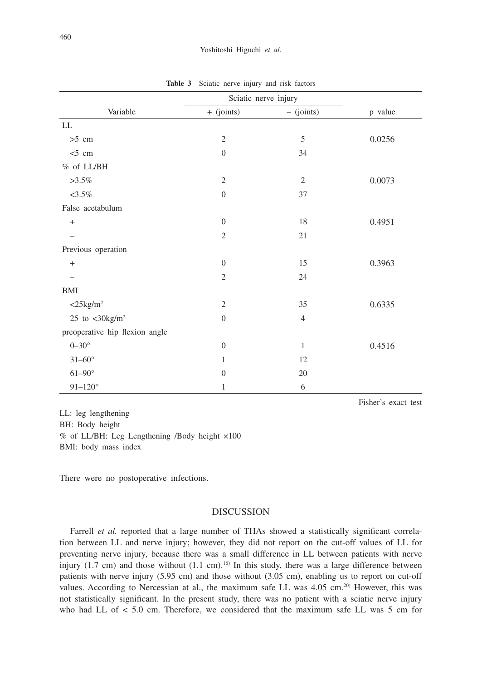|                                          | Sciatic nerve injury |                |         |
|------------------------------------------|----------------------|----------------|---------|
| Variable                                 | $+$ (joints)         | $-$ (joints)   | p value |
| ${\rm LL}$                               |                      |                |         |
| $>5$ cm                                  | $\mathfrak{2}$       | 5              | 0.0256  |
| $<$ 5 cm                                 | $\overline{0}$       | 34             |         |
| $%$ of LL/BH                             |                      |                |         |
| $>3.5\%$                                 | $\mathfrak{2}$       | $\mathfrak{2}$ | 0.0073  |
| $<3.5\%$                                 | $\overline{0}$       | 37             |         |
| False acetabulum                         |                      |                |         |
| $\ddot{}$                                | $\boldsymbol{0}$     | 18             | 0.4951  |
|                                          | $\mathfrak{2}$       | $21\,$         |         |
| Previous operation                       |                      |                |         |
| $\ddot{}$                                | $\boldsymbol{0}$     | 15             | 0.3963  |
|                                          | $\mathfrak{2}$       | 24             |         |
| <b>BMI</b>                               |                      |                |         |
| $<$ 25 $kg/m2$                           | $\mathfrak{2}$       | 35             | 0.6335  |
| 25 to $\langle 30 \text{kg/m}^2 \rangle$ | $\overline{0}$       | $\overline{4}$ |         |
| preoperative hip flexion angle           |                      |                |         |
| $0 - 30^\circ$                           | $\boldsymbol{0}$     | $\mathbf{1}$   | 0.4516  |
| $31 - 60^{\circ}$                        | 1                    | 12             |         |
| $61 - 90^\circ$                          | $\boldsymbol{0}$     | $20\,$         |         |
| $91 - 120^\circ$                         | $\mathbf{1}$         | 6              |         |

**Table 3** Sciatic nerve injury and risk factors

LL: leg lengthening BH: Body height % of LL/BH: Leg Lengthening /Body height ×100 BMI: body mass index

There were no postoperative infections.

## DISCUSSION

Farrell *et al.* reported that a large number of THAs showed a statistically significant correlation between LL and nerve injury; however, they did not report on the cut-off values of LL for preventing nerve injury, because there was a small difference in LL between patients with nerve injury  $(1.7 \text{ cm})$  and those without  $(1.1 \text{ cm})$ .<sup>16)</sup> In this study, there was a large difference between patients with nerve injury (5.95 cm) and those without (3.05 cm), enabling us to report on cut-off values. According to Nercessian at al., the maximum safe LL was 4.05 cm.<sup>20)</sup> However, this was not statistically significant. In the present study, there was no patient with a sciatic nerve injury who had LL of < 5.0 cm. Therefore, we considered that the maximum safe LL was 5 cm for

Fisher's exact test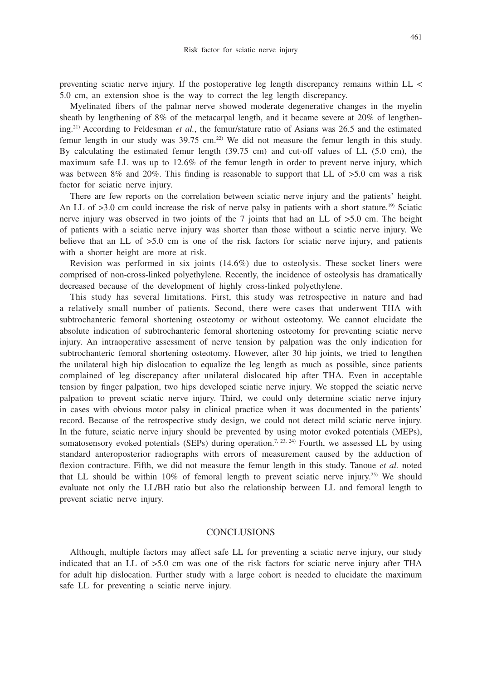preventing sciatic nerve injury. If the postoperative leg length discrepancy remains within LL < 5.0 cm, an extension shoe is the way to correct the leg length discrepancy.

Myelinated fibers of the palmar nerve showed moderate degenerative changes in the myelin sheath by lengthening of 8% of the metacarpal length, and it became severe at 20% of lengthening.21) According to Feldesman *et al.*, the femur/stature ratio of Asians was 26.5 and the estimated femur length in our study was  $39.75$  cm.<sup>22)</sup> We did not measure the femur length in this study. By calculating the estimated femur length (39.75 cm) and cut-off values of LL (5.0 cm), the maximum safe LL was up to 12.6% of the femur length in order to prevent nerve injury, which was between 8% and 20%. This finding is reasonable to support that LL of  $>5.0$  cm was a risk factor for sciatic nerve injury.

There are few reports on the correlation between sciatic nerve injury and the patients' height. An LL of >3.0 cm could increase the risk of nerve palsy in patients with a short stature.<sup>19)</sup> Sciatic nerve injury was observed in two joints of the 7 joints that had an LL of >5.0 cm. The height of patients with a sciatic nerve injury was shorter than those without a sciatic nerve injury. We believe that an LL of  $>5.0$  cm is one of the risk factors for sciatic nerve injury, and patients with a shorter height are more at risk.

Revision was performed in six joints (14.6%) due to osteolysis. These socket liners were comprised of non-cross-linked polyethylene. Recently, the incidence of osteolysis has dramatically decreased because of the development of highly cross-linked polyethylene.

This study has several limitations. First, this study was retrospective in nature and had a relatively small number of patients. Second, there were cases that underwent THA with subtrochanteric femoral shortening osteotomy or without osteotomy. We cannot elucidate the absolute indication of subtrochanteric femoral shortening osteotomy for preventing sciatic nerve injury. An intraoperative assessment of nerve tension by palpation was the only indication for subtrochanteric femoral shortening osteotomy. However, after 30 hip joints, we tried to lengthen the unilateral high hip dislocation to equalize the leg length as much as possible, since patients complained of leg discrepancy after unilateral dislocated hip after THA. Even in acceptable tension by finger palpation, two hips developed sciatic nerve injury. We stopped the sciatic nerve palpation to prevent sciatic nerve injury. Third, we could only determine sciatic nerve injury in cases with obvious motor palsy in clinical practice when it was documented in the patients' record. Because of the retrospective study design, we could not detect mild sciatic nerve injury. In the future, sciatic nerve injury should be prevented by using motor evoked potentials (MEPs), somatosensory evoked potentials (SEPs) during operation.<sup>7, 23, 24)</sup> Fourth, we assessed LL by using standard anteroposterior radiographs with errors of measurement caused by the adduction of flexion contracture. Fifth, we did not measure the femur length in this study. Tanoue *et al.* noted that LL should be within 10% of femoral length to prevent sciatic nerve injury.25) We should evaluate not only the LL/BH ratio but also the relationship between LL and femoral length to prevent sciatic nerve injury.

# CONCLUSIONS

Although, multiple factors may affect safe LL for preventing a sciatic nerve injury, our study indicated that an LL of >5.0 cm was one of the risk factors for sciatic nerve injury after THA for adult hip dislocation. Further study with a large cohort is needed to elucidate the maximum safe LL for preventing a sciatic nerve injury.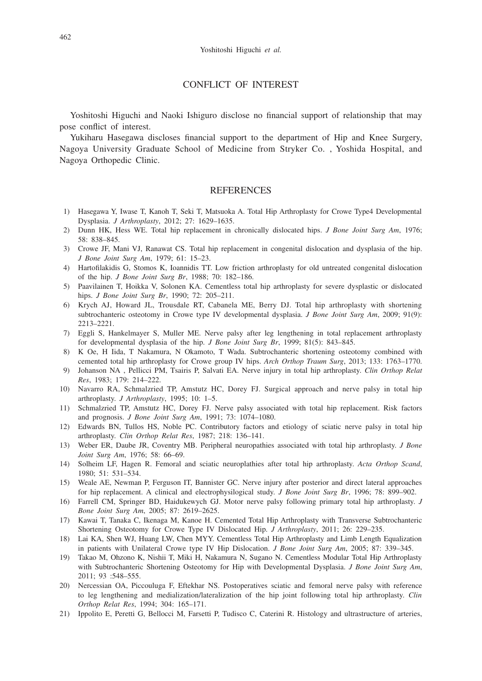## CONFLICT OF INTEREST

Yoshitoshi Higuchi and Naoki Ishiguro disclose no financial support of relationship that may pose conflict of interest.

Yukiharu Hasegawa discloses financial support to the department of Hip and Knee Surgery, Nagoya University Graduate School of Medicine from Stryker Co. , Yoshida Hospital, and Nagoya Orthopedic Clinic.

## REFERENCES

- 1) Hasegawa Y, Iwase T, Kanoh T, Seki T, Matsuoka A. Total Hip Arthroplasty for Crowe Type4 Developmental Dysplasia. *J Arthroplasty*, 2012; 27: 1629–1635.
- 2) Dunn HK, Hess WE. Total hip replacement in chronically dislocated hips. *J Bone Joint Surg Am*, 1976; 58: 838–845.
- 3) Crowe JF, Mani VJ, Ranawat CS. Total hip replacement in congenital dislocation and dysplasia of the hip. *J Bone Joint Surg Am*, 1979; 61: 15–23.
- 4) Hartofilakidis G, Stomos K, Ioannidis TT. Low friction arthroplasty for old untreated congenital dislocation of the hip. *J Bone Joint Surg Br*, 1988; 70: 182–186.
- 5) Paavilainen T, Hoikka V, Solonen KA. Cementless total hip arthroplasty for severe dysplastic or dislocated hips. *J Bone Joint Surg Br*, 1990; 72: 205–211.
- 6) Krych AJ, Howard JL, Trousdale RT, Cabanela ME, Berry DJ. Total hip arthroplasty with shortening subtrochanteric osteotomy in Crowe type IV developmental dysplasia. *J Bone Joint Surg Am*, 2009; 91(9): 2213–2221.
- 7) Eggli S, Hankelmayer S, Muller ME. Nerve palsy after leg lengthening in total replacement arthroplasty for developmental dysplasia of the hip. *J Bone Joint Surg Br*, 1999; 81(5): 843–845.
- 8) K Oe, H Iida, T Nakamura, N Okamoto, T Wada. Subtrochanteric shortening osteotomy combined with cemented total hip arthroplasty for Crowe group IV hips. *Arch Orthop Traum Surg*, 2013; 133: 1763–1770.
- 9) Johanson NA , Pellicci PM, Tsairis P, Salvati EA. Nerve injury in total hip arthroplasty. *Clin Orthop Relat Res*, 1983; 179: 214–222.
- 10) Navarro RA, Schmalzried TP, Amstutz HC, Dorey FJ. Surgical approach and nerve palsy in total hip arthroplasty. *J Arthroplasty*, 1995; 10: 1–5.
- 11) Schmalzried TP, Amstutz HC, Dorey FJ. Nerve palsy associated with total hip replacement. Risk factors and prognosis. *J Bone Joint Surg Am*, 1991; 73: 1074–1080.
- 12) Edwards BN, Tullos HS, Noble PC. Contributory factors and etiology of sciatic nerve palsy in total hip arthroplasty. *Clin Orthop Relat Res*, 1987; 218: 136–141.
- 13) Weber ER, Daube JR, Coventry MB. Peripheral neuropathies associated with total hip arthroplasty. *J Bone Joint Surg Am*, 1976; 58: 66–69.
- 14) Solheim LF, Hagen R. Femoral and sciatic neuroplathies after total hip arthroplasty. *Acta Orthop Scand*, 1980; 51: 531–534.
- 15) Weale AE, Newman P, Ferguson IT, Bannister GC. Nerve injury after posterior and direct lateral approaches for hip replacement. A clinical and electrophysilogical study. *J Bone Joint Surg Br*, 1996; 78: 899–902.
- 16) Farrell CM, Springer BD, Haidukewych GJ. Motor nerve palsy following primary total hip arthroplasty. *J Bone Joint Surg Am*, 2005; 87: 2619–2625.
- 17) Kawai T, Tanaka C, Ikenaga M, Kanoe H. Cemented Total Hip Arthroplasty with Transverse Subtrochanteric Shortening Osteotomy for Crowe Type IV Dislocated Hip. *J Arthroplasty*, 2011; 26: 229–235.
- 18) Lai KA, Shen WJ, Huang LW, Chen MYY. Cementless Total Hip Arthroplasty and Limb Length Equalization in patients with Unilateral Crowe type IV Hip Dislocation. *J Bone Joint Surg Am*, 2005; 87: 339–345.
- 19) Takao M, Ohzono K, Nishii T, Miki H, Nakamura N, Sugano N. Cementless Modular Total Hip Arthroplasty with Subtrochanteric Shortening Osteotomy for Hip with Developmental Dysplasia. *J Bone Joint Surg Am*, 2011; 93 :548–555.
- 20) Nercessian OA, Piccouluga F, Eftekhar NS. Postoperatives sciatic and femoral nerve palsy with reference to leg lengthening and medialization/lateralization of the hip joint following total hip arthroplasty. *Clin Orthop Relat Res*, 1994; 304: 165–171.
- 21) Ippolito E, Peretti G, Bellocci M, Farsetti P, Tudisco C, Caterini R. Histology and ultrastructure of arteries,